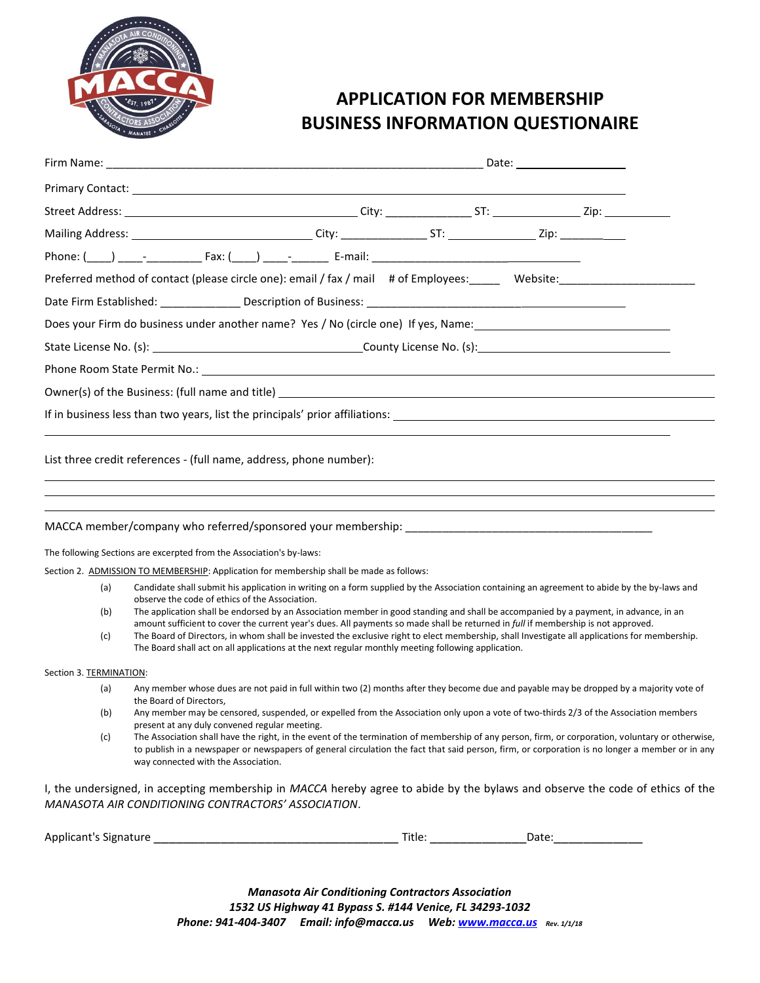

## **APPLICATION FOR MEMBERSHIP BUSINESS INFORMATION QUESTIONAIRE**

|                         | Preferred method of contact (please circle one): email / fax / mail # of Employees: Website: Website:                                                                                                                                                                                                                                                                                                                                                                                                                                   |        |       |  |
|-------------------------|-----------------------------------------------------------------------------------------------------------------------------------------------------------------------------------------------------------------------------------------------------------------------------------------------------------------------------------------------------------------------------------------------------------------------------------------------------------------------------------------------------------------------------------------|--------|-------|--|
|                         |                                                                                                                                                                                                                                                                                                                                                                                                                                                                                                                                         |        |       |  |
|                         | Does your Firm do business under another name? Yes / No (circle one) If yes, Name: 1990 1991 1991 1991 1991 19                                                                                                                                                                                                                                                                                                                                                                                                                          |        |       |  |
|                         |                                                                                                                                                                                                                                                                                                                                                                                                                                                                                                                                         |        |       |  |
|                         |                                                                                                                                                                                                                                                                                                                                                                                                                                                                                                                                         |        |       |  |
|                         |                                                                                                                                                                                                                                                                                                                                                                                                                                                                                                                                         |        |       |  |
|                         | If in business less than two years, list the principals' prior affiliations:                                                                                                                                                                                                                                                                                                                                                                                                                                                            |        |       |  |
|                         |                                                                                                                                                                                                                                                                                                                                                                                                                                                                                                                                         |        |       |  |
|                         | MACCA member/company who referred/sponsored your membership: www.component.com/component.com/component.com/com<br>The following Sections are excerpted from the Association's by-laws:                                                                                                                                                                                                                                                                                                                                                  |        |       |  |
|                         | Section 2. ADMISSION TO MEMBERSHIP: Application for membership shall be made as follows:<br>Candidate shall submit his application in writing on a form supplied by the Association containing an agreement to abide by the by-laws and                                                                                                                                                                                                                                                                                                 |        |       |  |
| (a)                     | observe the code of ethics of the Association.                                                                                                                                                                                                                                                                                                                                                                                                                                                                                          |        |       |  |
| (b)<br>(c)              | The application shall be endorsed by an Association member in good standing and shall be accompanied by a payment, in advance, in an<br>amount sufficient to cover the current year's dues. All payments so made shall be returned in <i>full</i> if membership is not approved.<br>The Board of Directors, in whom shall be invested the exclusive right to elect membership, shall Investigate all applications for membership.<br>The Board shall act on all applications at the next regular monthly meeting following application. |        |       |  |
| Section 3. TERMINATION: |                                                                                                                                                                                                                                                                                                                                                                                                                                                                                                                                         |        |       |  |
| (a)                     | Any member whose dues are not paid in full within two (2) months after they become due and payable may be dropped by a majority vote of                                                                                                                                                                                                                                                                                                                                                                                                 |        |       |  |
| (b)                     | the Board of Directors,<br>Any member may be censored, suspended, or expelled from the Association only upon a vote of two-thirds 2/3 of the Association members                                                                                                                                                                                                                                                                                                                                                                        |        |       |  |
| (c)                     | present at any duly convened regular meeting.<br>The Association shall have the right, in the event of the termination of membership of any person, firm, or corporation, voluntary or otherwise,<br>to publish in a newspaper or newspapers of general circulation the fact that said person, firm, or corporation is no longer a member or in any<br>way connected with the Association.                                                                                                                                              |        |       |  |
|                         | I, the undersigned, in accepting membership in MACCA hereby agree to abide by the bylaws and observe the code of ethics of the<br><b>MANASOTA AIR CONDITIONING CONTRACTORS' ASSOCIATION.</b>                                                                                                                                                                                                                                                                                                                                            |        |       |  |
| Applicant's Signature   |                                                                                                                                                                                                                                                                                                                                                                                                                                                                                                                                         | Title: | Date: |  |

*Manasota Air Conditioning Contractors Association 1532 US Highway 41 Bypass S. #144 Venice, FL 34293-1032 Phone: 941-404-3407 Email: info@macca.us Web: [www.macca.us](http://www.macca.us/) Rev. 1/1/18*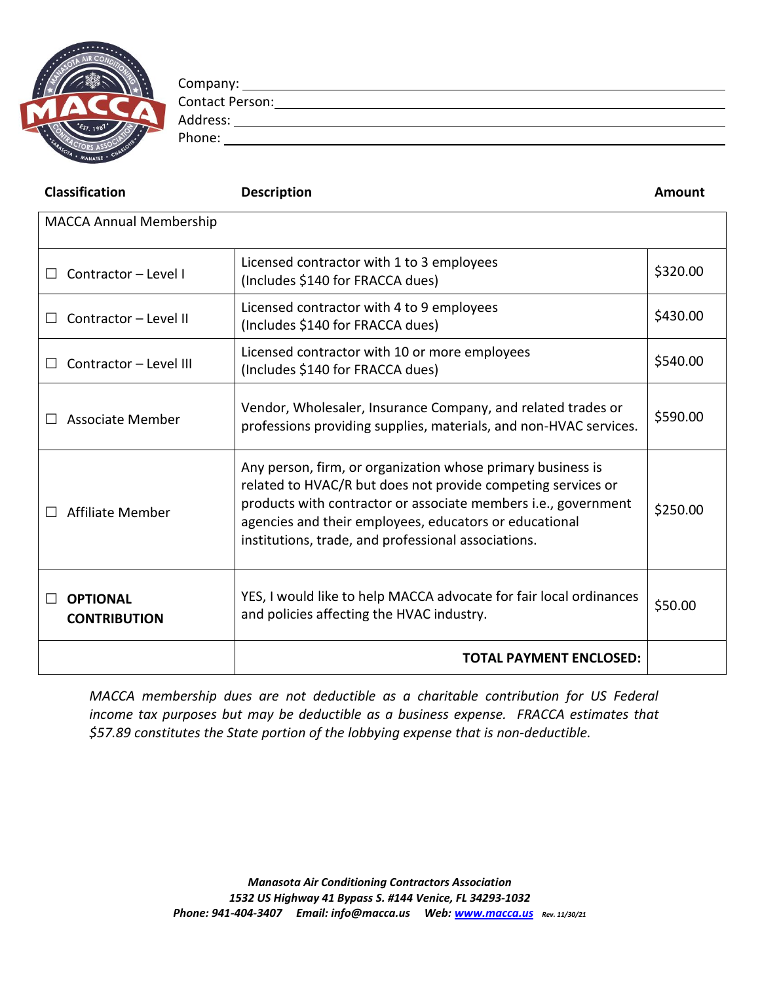

Company: Contact Person:

Address: Phone: The contract of the contract of the contract of the contract of the contract of the contract of the contract of the contract of the contract of the contract of the contract of the contract of the contract of the con

| <b>Classification</b>                  | <b>Description</b>                                                                                                                                                                                                                                                                                             | Amount   |  |  |  |  |
|----------------------------------------|----------------------------------------------------------------------------------------------------------------------------------------------------------------------------------------------------------------------------------------------------------------------------------------------------------------|----------|--|--|--|--|
| <b>MACCA Annual Membership</b>         |                                                                                                                                                                                                                                                                                                                |          |  |  |  |  |
| Contractor - Level I                   | Licensed contractor with 1 to 3 employees<br>(Includes \$140 for FRACCA dues)                                                                                                                                                                                                                                  | \$320.00 |  |  |  |  |
| Contractor - Level II<br>$\mathsf{L}$  | Licensed contractor with 4 to 9 employees<br>(Includes \$140 for FRACCA dues)                                                                                                                                                                                                                                  | \$430.00 |  |  |  |  |
| Contractor - Level III                 | Licensed contractor with 10 or more employees<br>(Includes \$140 for FRACCA dues)                                                                                                                                                                                                                              | \$540.00 |  |  |  |  |
| Associate Member                       | Vendor, Wholesaler, Insurance Company, and related trades or<br>professions providing supplies, materials, and non-HVAC services.                                                                                                                                                                              | \$590.00 |  |  |  |  |
| Affiliate Member                       | Any person, firm, or organization whose primary business is<br>related to HVAC/R but does not provide competing services or<br>products with contractor or associate members i.e., government<br>agencies and their employees, educators or educational<br>institutions, trade, and professional associations. | \$250.00 |  |  |  |  |
| <b>OPTIONAL</b><br><b>CONTRIBUTION</b> | YES, I would like to help MACCA advocate for fair local ordinances<br>and policies affecting the HVAC industry.                                                                                                                                                                                                | \$50.00  |  |  |  |  |
| <b>TOTAL PAYMENT ENCLOSED:</b>         |                                                                                                                                                                                                                                                                                                                |          |  |  |  |  |

*MACCA membership dues are not deductible as a charitable contribution for US Federal income tax purposes but may be deductible as a business expense. FRACCA estimates that \$57.89 constitutes the State portion of the lobbying expense that is non-deductible.*